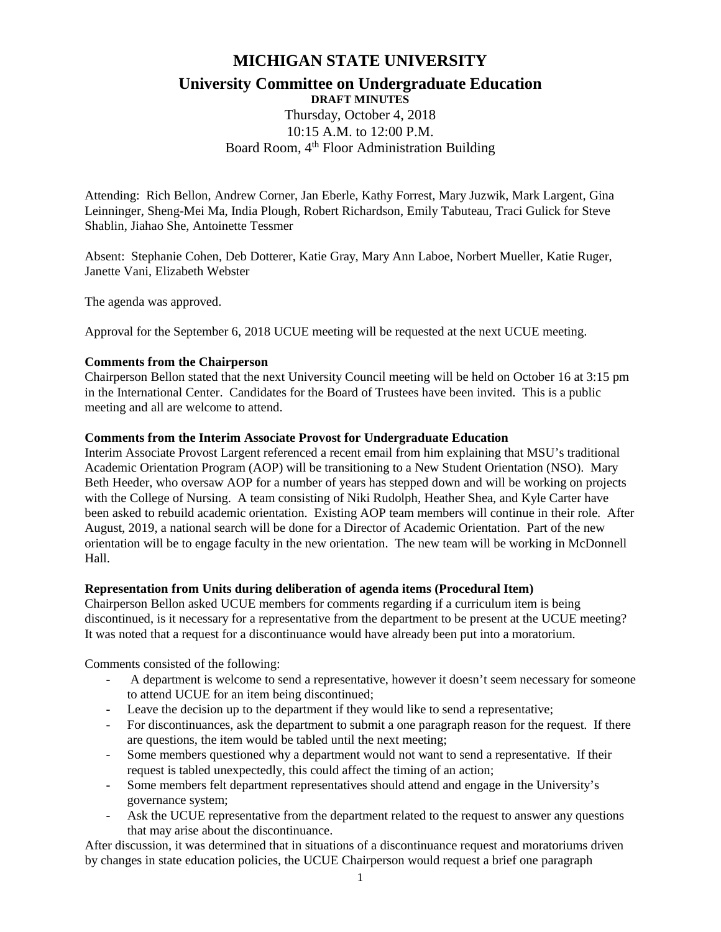# **MICHIGAN STATE UNIVERSITY**

# **University Committee on Undergraduate Education DRAFT MINUTES**

Thursday, October 4, 2018 10:15 A.M. to 12:00 P.M. Board Room, 4<sup>th</sup> Floor Administration Building

Attending: Rich Bellon, Andrew Corner, Jan Eberle, Kathy Forrest, Mary Juzwik, Mark Largent, Gina Leinninger, Sheng-Mei Ma, India Plough, Robert Richardson, Emily Tabuteau, Traci Gulick for Steve Shablin, Jiahao She, Antoinette Tessmer

Absent: Stephanie Cohen, Deb Dotterer, Katie Gray, Mary Ann Laboe, Norbert Mueller, Katie Ruger, Janette Vani, Elizabeth Webster

The agenda was approved.

Approval for the September 6, 2018 UCUE meeting will be requested at the next UCUE meeting.

# **Comments from the Chairperson**

Chairperson Bellon stated that the next University Council meeting will be held on October 16 at 3:15 pm in the International Center. Candidates for the Board of Trustees have been invited. This is a public meeting and all are welcome to attend.

# **Comments from the Interim Associate Provost for Undergraduate Education**

Interim Associate Provost Largent referenced a recent email from him explaining that MSU's traditional Academic Orientation Program (AOP) will be transitioning to a New Student Orientation (NSO). Mary Beth Heeder, who oversaw AOP for a number of years has stepped down and will be working on projects with the College of Nursing. A team consisting of Niki Rudolph, Heather Shea, and Kyle Carter have been asked to rebuild academic orientation. Existing AOP team members will continue in their role. After August, 2019, a national search will be done for a Director of Academic Orientation. Part of the new orientation will be to engage faculty in the new orientation. The new team will be working in McDonnell Hall.

#### **Representation from Units during deliberation of agenda items (Procedural Item)**

Chairperson Bellon asked UCUE members for comments regarding if a curriculum item is being discontinued, is it necessary for a representative from the department to be present at the UCUE meeting? It was noted that a request for a discontinuance would have already been put into a moratorium.

Comments consisted of the following:

- A department is welcome to send a representative, however it doesn't seem necessary for someone to attend UCUE for an item being discontinued;
- Leave the decision up to the department if they would like to send a representative;
- For discontinuances, ask the department to submit a one paragraph reason for the request. If there are questions, the item would be tabled until the next meeting;
- Some members questioned why a department would not want to send a representative. If their request is tabled unexpectedly, this could affect the timing of an action;
- Some members felt department representatives should attend and engage in the University's governance system;
- Ask the UCUE representative from the department related to the request to answer any questions that may arise about the discontinuance.

After discussion, it was determined that in situations of a discontinuance request and moratoriums driven by changes in state education policies, the UCUE Chairperson would request a brief one paragraph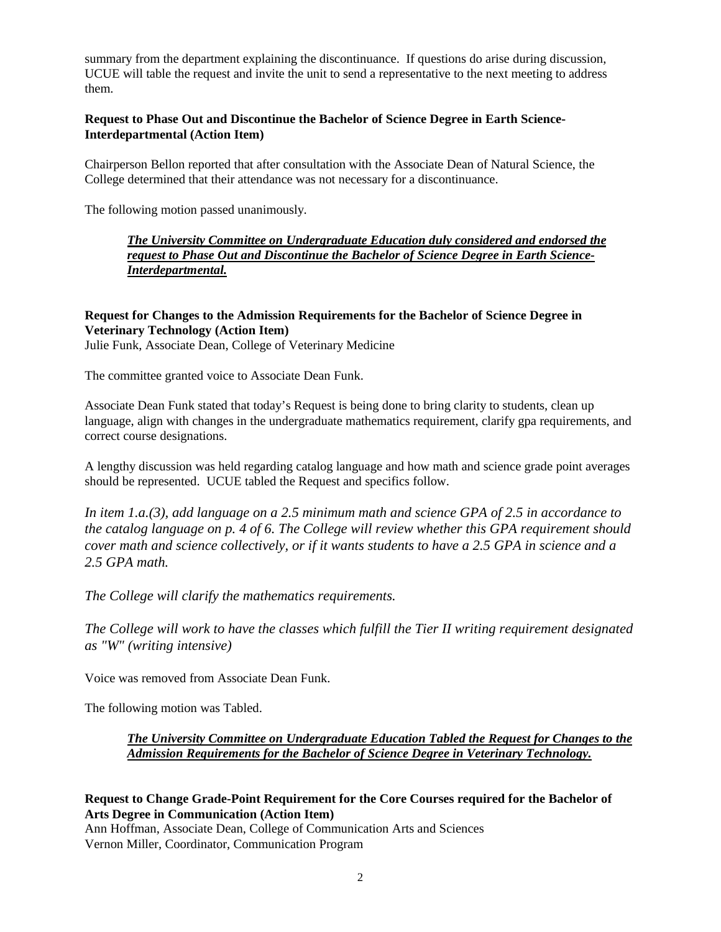summary from the department explaining the discontinuance. If questions do arise during discussion, UCUE will table the request and invite the unit to send a representative to the next meeting to address them.

#### **Request to Phase Out and Discontinue the Bachelor of Science Degree in Earth Science-Interdepartmental (Action Item)**

Chairperson Bellon reported that after consultation with the Associate Dean of Natural Science, the College determined that their attendance was not necessary for a discontinuance.

The following motion passed unanimously.

*The University Committee on Undergraduate Education duly considered and endorsed the request to Phase Out and Discontinue the Bachelor of Science Degree in Earth Science-Interdepartmental.*

# **Request for Changes to the Admission Requirements for the Bachelor of Science Degree in Veterinary Technology (Action Item)**

Julie Funk, Associate Dean, College of Veterinary Medicine

The committee granted voice to Associate Dean Funk.

Associate Dean Funk stated that today's Request is being done to bring clarity to students, clean up language, align with changes in the undergraduate mathematics requirement, clarify gpa requirements, and correct course designations.

A lengthy discussion was held regarding catalog language and how math and science grade point averages should be represented. UCUE tabled the Request and specifics follow.

*In item 1.a.(3), add language on a 2.5 minimum math and science GPA of 2.5 in accordance to the catalog language on p. 4 of 6. The College will review whether this GPA requirement should cover math and science collectively, or if it wants students to have a 2.5 GPA in science and a 2.5 GPA math.*

*The College will clarify the mathematics requirements.*

*The College will work to have the classes which fulfill the Tier II writing requirement designated as "W" (writing intensive)*

Voice was removed from Associate Dean Funk.

The following motion was Tabled.

# *The University Committee on Undergraduate Education Tabled the Request for Changes to the Admission Requirements for the Bachelor of Science Degree in Veterinary Technology.*

#### **Request to Change Grade-Point Requirement for the Core Courses required for the Bachelor of Arts Degree in Communication (Action Item)**

Ann Hoffman, Associate Dean, College of Communication Arts and Sciences Vernon Miller, Coordinator, Communication Program